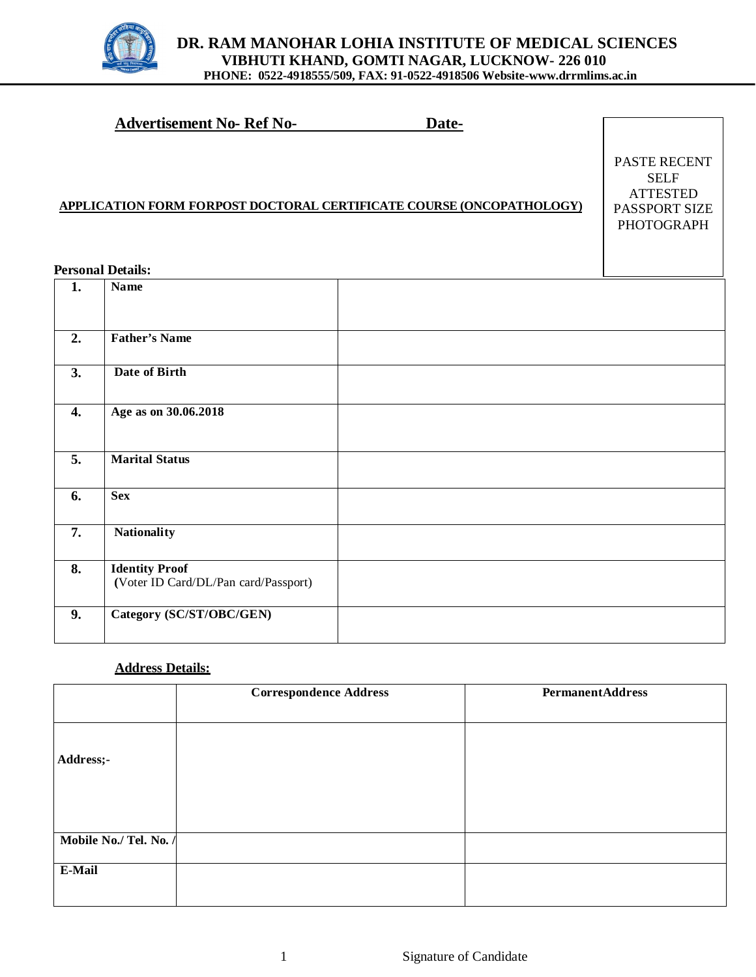

|                  | <b>Advertisement No- Ref No-</b>     | Date-                                                                       |                                                                                      |
|------------------|--------------------------------------|-----------------------------------------------------------------------------|--------------------------------------------------------------------------------------|
|                  | <b>Personal Details:</b>             | <b>APPLICATION FORM FORPOST DOCTORAL CERTIFICATE COURSE (ONCOPATHOLOGY)</b> | PASTE RECENT<br><b>SELF</b><br><b>ATTESTED</b><br>PASSPORT SIZE<br><b>PHOTOGRAPH</b> |
| 1.               | <b>Name</b>                          |                                                                             |                                                                                      |
|                  |                                      |                                                                             |                                                                                      |
| 2.               | <b>Father's Name</b>                 |                                                                             |                                                                                      |
| 3.               | Date of Birth                        |                                                                             |                                                                                      |
| $\overline{4}$ . | Age as on 30.06.2018                 |                                                                             |                                                                                      |
| 5.               | <b>Marital Status</b>                |                                                                             |                                                                                      |
| 6.               | Sex                                  |                                                                             |                                                                                      |
| 7.               | <b>Nationality</b>                   |                                                                             |                                                                                      |
| 8.               | <b>Identity Proof</b>                |                                                                             |                                                                                      |
|                  | (Voter ID Card/DL/Pan card/Passport) |                                                                             |                                                                                      |
| 9.               | Category (SC/ST/OBC/GEN)             |                                                                             |                                                                                      |

### **Address Details:**

| <b>Correspondence Address</b> | <b>PermanentAddress</b> |
|-------------------------------|-------------------------|
|                               |                         |
|                               |                         |
|                               |                         |
|                               |                         |
|                               |                         |
|                               |                         |
|                               |                         |
|                               |                         |
|                               |                         |
|                               |                         |
|                               |                         |
|                               | Mobile No./ Tel. No. /  |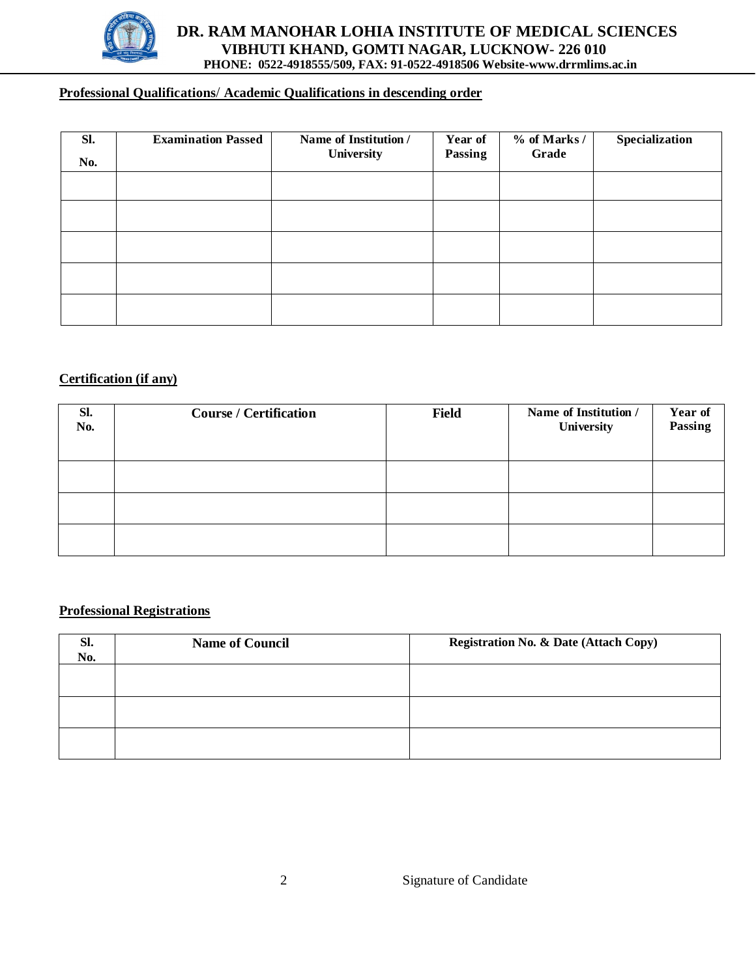

# **DR. RAM MANOHAR LOHIA INSTITUTE OF MEDICAL SCIENCES VIBHUTI KHAND, GOMTI NAGAR, LUCKNOW- 226 010 PHONE: 0522-4918555/509, FAX: 91-0522-4918506 Website-[www.drrmlims.ac.in](http://www.drrmlims.ac.in)**

# **Professional Qualifications**/ **Academic Qualifications in descending order**

| Sl.<br>No. | <b>Examination Passed</b> | Name of Institution /<br><b>University</b> | Year of<br>Passing | $%$ of Marks /<br>Grade | Specialization |
|------------|---------------------------|--------------------------------------------|--------------------|-------------------------|----------------|
|            |                           |                                            |                    |                         |                |
|            |                           |                                            |                    |                         |                |
|            |                           |                                            |                    |                         |                |
|            |                           |                                            |                    |                         |                |
|            |                           |                                            |                    |                         |                |

#### **Certification (if any)**

| Sl.<br>No. | <b>Course / Certification</b> | <b>Field</b> | Name of Institution /<br>University | <b>Year of<br/>Passing</b> |
|------------|-------------------------------|--------------|-------------------------------------|----------------------------|
|            |                               |              |                                     |                            |
|            |                               |              |                                     |                            |
|            |                               |              |                                     |                            |

#### **Professional Registrations**

| SI.<br>No. | <b>Name of Council</b> | <b>Registration No. &amp; Date (Attach Copy)</b> |
|------------|------------------------|--------------------------------------------------|
|            |                        |                                                  |
|            |                        |                                                  |
|            |                        |                                                  |